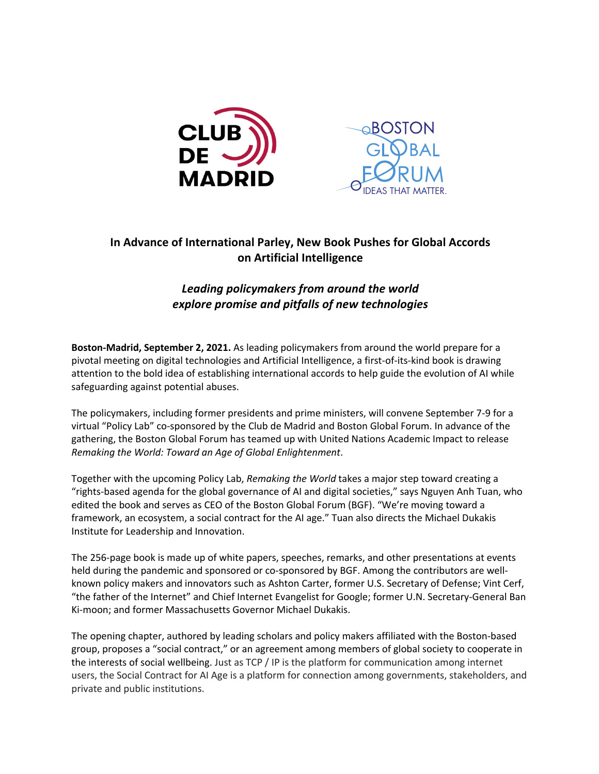

## **In Advance of International Parley, New Book Pushes for Global Accords on Artificial Intelligence**

## *Leading policymakers from around the world explore promise and pitfalls of new technologies*

**Boston-Madrid, September 2, 2021.** As leading policymakers from around the world prepare for a pivotal meeting on digital technologies and Artificial Intelligence, a first-of-its-kind book is drawing attention to the bold idea of establishing international accords to help guide the evolution of AI while safeguarding against potential abuses.

The policymakers, including former presidents and prime ministers, will convene September 7-9 for a virtual "Policy Lab" co-sponsored by the Club de Madrid and Boston Global Forum. In advance of the gathering, the Boston Global Forum has teamed up with United Nations Academic Impact to release *Remaking the World: Toward an Age of Global Enlightenment*.

Together with the upcoming Policy Lab, *Remaking the World* takes a major step toward creating a "rights-based agenda for the global governance of AI and digital societies," says Nguyen Anh Tuan, who edited the book and serves as CEO of the Boston Global Forum (BGF). "We're moving toward a framework, an ecosystem, a social contract for the AI age." Tuan also directs the Michael Dukakis Institute for Leadership and Innovation.

The 256-page book is made up of white papers, speeches, remarks, and other presentations at events held during the pandemic and sponsored or co-sponsored by BGF. Among the contributors are wellknown policy makers and innovators such as Ashton Carter, former U.S. Secretary of Defense; Vint Cerf, "the father of the Internet" and Chief Internet Evangelist for Google; former U.N. Secretary-General Ban Ki-moon; and former Massachusetts Governor Michael Dukakis.

The opening chapter, authored by leading scholars and policy makers affiliated with the Boston-based group, proposes a "social contract," or an agreement among members of global society to cooperate in the interests of social wellbeing. Just as TCP / IP is the platform for communication among internet users, the Social Contract for AI Age is a platform for connection among governments, stakeholders, and private and public institutions.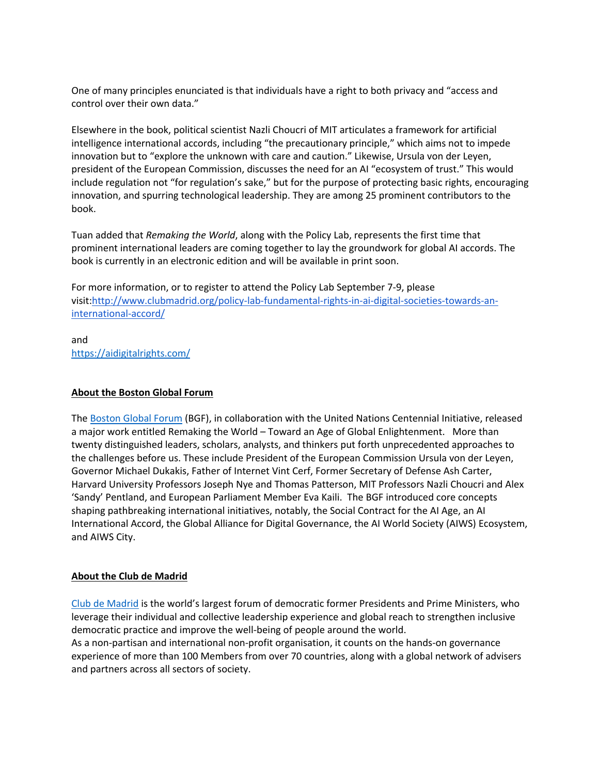One of many principles enunciated is that individuals have a right to both privacy and "access and control over their own data."

Elsewhere in the book, political scientist Nazli Choucri of MIT articulates a framework for artificial intelligence international accords, including "the precautionary principle," which aims not to impede innovation but to "explore the unknown with care and caution." Likewise, Ursula von der Leyen, president of the European Commission, discusses the need for an AI "ecosystem of trust." This would include regulation not "for regulation's sake," but for the purpose of protecting basic rights, encouraging innovation, and spurring technological leadership. They are among 25 prominent contributors to the book.

Tuan added that *Remaking the World*, along with the Policy Lab, represents the first time that prominent international leaders are coming together to lay the groundwork for global AI accords. The book is currently in an electronic edition and will be available in print soon.

For more information, or to register to attend the Policy Lab September 7-9, please visit:http://www.clubmadrid.org/policy-lab-fundamental-rights-in-ai-digital-societies-towards-aninternational-accord/

and https://aidigitalrights.com/

#### **About the Boston Global Forum**

The Boston Global Forum (BGF), in collaboration with the United Nations Centennial Initiative, released a major work entitled Remaking the World – Toward an Age of Global Enlightenment. More than twenty distinguished leaders, scholars, analysts, and thinkers put forth unprecedented approaches to the challenges before us. These include President of the European Commission Ursula von der Leyen, Governor Michael Dukakis, Father of Internet Vint Cerf, Former Secretary of Defense Ash Carter, Harvard University Professors Joseph Nye and Thomas Patterson, MIT Professors Nazli Choucri and Alex 'Sandy' Pentland, and European Parliament Member Eva Kaili. The BGF introduced core concepts shaping pathbreaking international initiatives, notably, the Social Contract for the AI Age, an AI International Accord, the Global Alliance for Digital Governance, the AI World Society (AIWS) Ecosystem, and AIWS City.

#### **About the Club de Madrid**

Club de Madrid is the world's largest forum of democratic former Presidents and Prime Ministers, who leverage their individual and collective leadership experience and global reach to strengthen inclusive democratic practice and improve the well-being of people around the world.

As a non-partisan and international non-profit organisation, it counts on the hands-on governance experience of more than 100 Members from over 70 countries, along with a global network of advisers and partners across all sectors of society.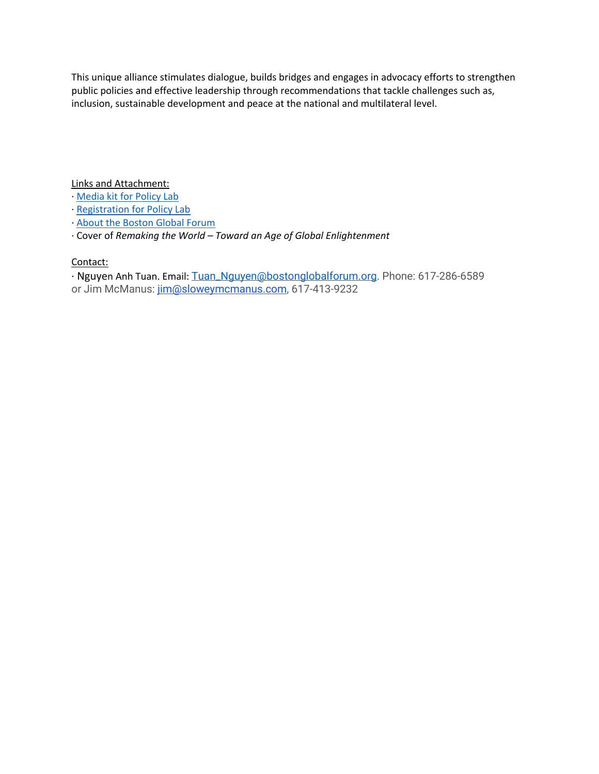This unique alliance stimulates dialogue, builds bridges and engages in advocacy efforts to strengthen public policies and effective leadership through recommendations that tackle challenges such as, inclusion, sustainable development and peace at the national and multilateral level.

Links and Attachment:

- Media kit for Policy Lab
- · Registration for Policy Lab
- · About the Boston Global Forum
- · Cover of *Remaking the World – Toward an Age of Global Enlightenment*

### Contact:

· Nguyen Anh Tuan. Email: Tuan\_Nguyen@bostonglobalforum.org. Phone: 617-286-6589 or Jim McManus: jim@sloweymcmanus.com, 617-413-9232